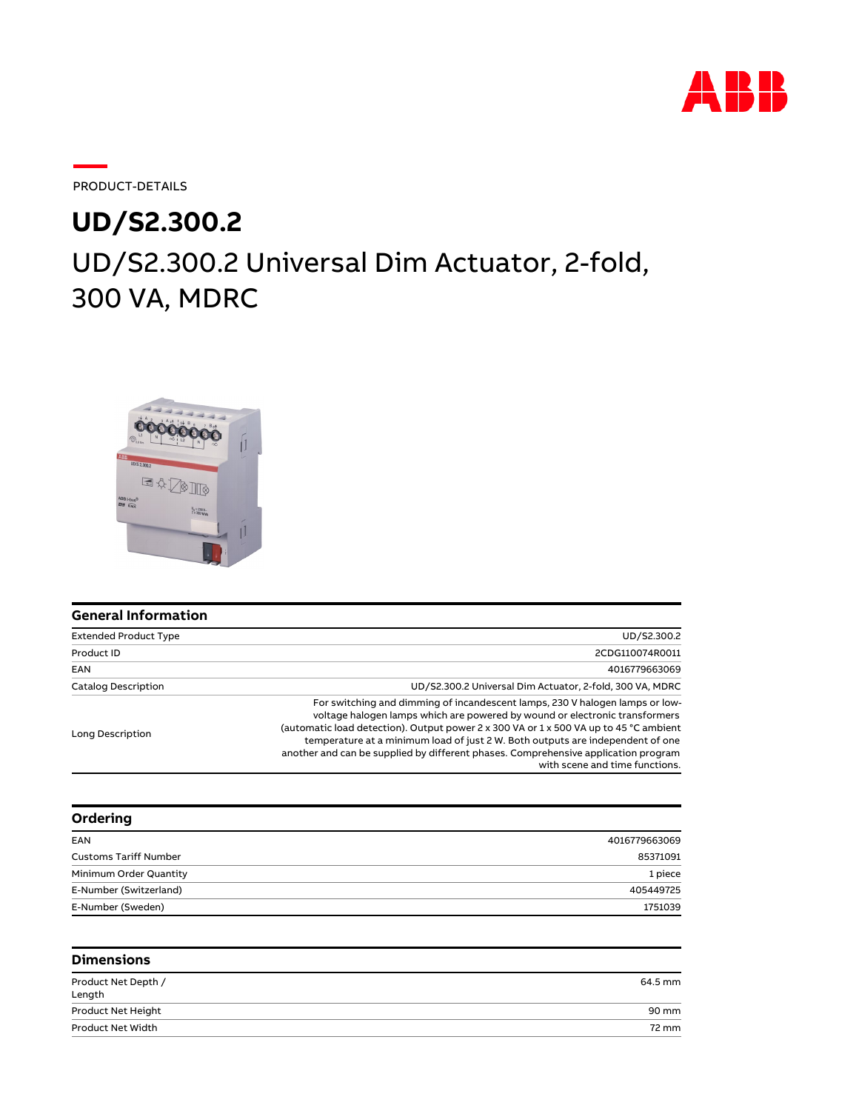

PRODUCT-DETAILS

## UD/S2.300.2 Universal Dim Actuator, 2-fold, 300 VA, MDRC **UD/S2.300.2**



| <b>General Information</b>   |                                                                                                                                                                                                                                                                                                                                                                                                                                                                |
|------------------------------|----------------------------------------------------------------------------------------------------------------------------------------------------------------------------------------------------------------------------------------------------------------------------------------------------------------------------------------------------------------------------------------------------------------------------------------------------------------|
| <b>Extended Product Type</b> | UD/S2.300.2                                                                                                                                                                                                                                                                                                                                                                                                                                                    |
| Product ID                   | 2CDG110074R0011                                                                                                                                                                                                                                                                                                                                                                                                                                                |
| EAN                          | 4016779663069                                                                                                                                                                                                                                                                                                                                                                                                                                                  |
| <b>Catalog Description</b>   | UD/S2.300.2 Universal Dim Actuator, 2-fold, 300 VA, MDRC                                                                                                                                                                                                                                                                                                                                                                                                       |
| Long Description             | For switching and dimming of incandescent lamps, 230 V halogen lamps or low-<br>voltage halogen lamps which are powered by wound or electronic transformers<br>(automatic load detection). Output power 2 x 300 VA or 1 x 500 VA up to 45 °C ambient<br>temperature at a minimum load of just 2 W. Both outputs are independent of one<br>another and can be supplied by different phases. Comprehensive application program<br>with scene and time functions. |

| Ordering                     |               |
|------------------------------|---------------|
| EAN                          | 4016779663069 |
| <b>Customs Tariff Number</b> | 85371091      |
| Minimum Order Quantity       | 1 piece       |
| E-Number (Switzerland)       | 405449725     |
| E-Number (Sweden)            | 1751039       |

| <b>Dimensions</b>             |         |
|-------------------------------|---------|
| Product Net Depth /<br>Length | 64.5 mm |
| Product Net Height            | 90 mm   |
| Product Net Width             | 72 mm   |